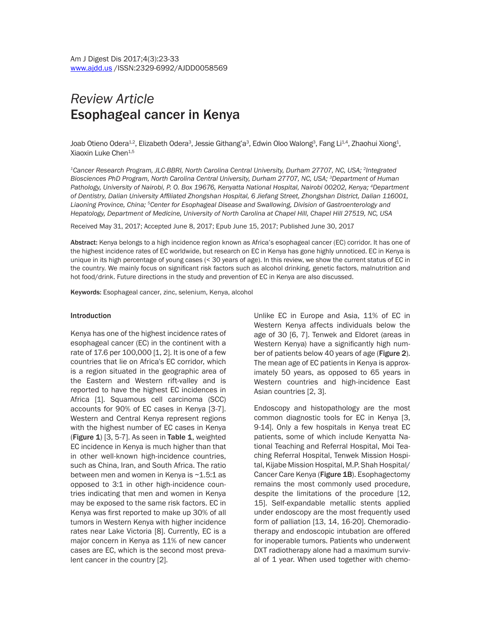# *Review Article*  Esophageal cancer in Kenya

Joab Otieno Odera $^{1,2}$ , Elizabeth Odera $^3$ , Jessie Githang'a $^3$ , Edwin Oloo Walong $^3$ , Fang Li $^{1,4}$ , Zhaohui Xiong $^4$ , Xiaoxin Luke Chen<sup>1,5</sup>

*1Cancer Research Program, JLC-BBRI, North Carolina Central University, Durham 27707, NC, USA; 2Integrated Biosciences PhD Program, North Carolina Central University, Durham 27707, NC, USA; 3Department of Human*  Pathology, University of Nairobi, P. O. Box 19676, Kenyatta National Hospital, Nairobi 00202, Kenya; <sup>4</sup>Department *of Dentistry, Dalian University Affiliated Zhongshan Hospital, 6 Jiefang Street, Zhongshan District, Dalian 116001, Liaoning Province, China; 5Center for Esophageal Disease and Swallowing, Division of Gastroenterology and Hepatology, Department of Medicine, University of North Carolina at Chapel Hill, Chapel Hill 27519, NC, USA*

Received May 31, 2017; Accepted June 8, 2017; Epub June 15, 2017; Published June 30, 2017

Abstract: Kenya belongs to a high incidence region known as Africa's esophageal cancer (EC) corridor. It has one of the highest incidence rates of EC worldwide, but research on EC in Kenya has gone highly unnoticed. EC in Kenya is unique in its high percentage of young cases (< 30 years of age). In this review, we show the current status of EC in the country. We mainly focus on significant risk factors such as alcohol drinking, genetic factors, malnutrition and hot food/drink. Future directions in the study and prevention of EC in Kenya are also discussed.

Keywords: Esophageal cancer, zinc, selenium, Kenya, alcohol

#### **Introduction**

Kenya has one of the highest incidence rates of esophageal cancer (EC) in the continent with a rate of 17.6 per 100,000 [1, 2]. It is one of a few countries that lie on Africa's EC corridor, which is a region situated in the geographic area of the Eastern and Western rift-valley and is reported to have the highest EC incidences in Africa [1]. Squamous cell carcinoma (SCC) accounts for 90% of EC cases in Kenya [3-7]. Western and Central Kenya represent regions with the highest number of EC cases in Kenya (Figure  $1$ ) [3, 5-7]. As seen in Table  $1$ , weighted EC incidence in Kenya is much higher than that in other well-known high-incidence countries, such as China, Iran, and South Africa. The ratio between men and women in Kenya is ~1.5:1 as opposed to 3:1 in other high-incidence countries indicating that men and women in Kenya may be exposed to the same risk factors. EC in Kenya was first reported to make up 30% of all tumors in Western Kenya with higher incidence rates near Lake Victoria [8]. Currently, EC is a major concern in Kenya as 11% of new cancer cases are EC, which is the second most prevalent cancer in the country [2].

Unlike EC in Europe and Asia, 11% of EC in Western Kenya affects individuals below the age of 30 [6, 7]. Tenwek and Eldoret (areas in Western Kenya) have a significantly high number of patients below 40 years of age (Figure 2). The mean age of EC patients in Kenya is approximately 50 years, as opposed to 65 years in Western countries and high-incidence East Asian countries [2, 3].

Endoscopy and histopathology are the most common diagnostic tools for EC in Kenya [3, 9-14]. Only a few hospitals in Kenya treat EC patients, some of which include Kenyatta National Teaching and Referral Hospital, Moi Teaching Referral Hospital, Tenwek Mission Hospital, Kijabe Mission Hospital, M.P. Shah Hospital/ Cancer Care Kenya (Figure 1B). Esophagectomy remains the most commonly used procedure, despite the limitations of the procedure [12, 15]. Self-expandable metallic stents applied under endoscopy are the most frequently used form of palliation [13, 14, 16-20]. Chemoradiotherapy and endoscopic intubation are offered for inoperable tumors. Patients who underwent DXT radiotherapy alone had a maximum survival of 1 year. When used together with chemo-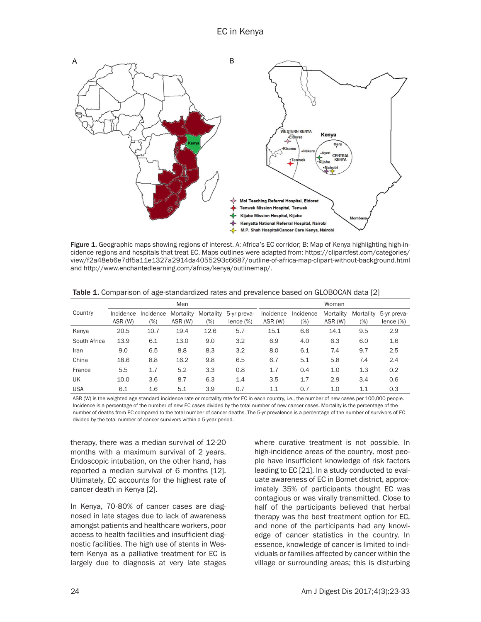

Figure 1. Geographic maps showing regions of interest. A: Africa's EC corridor; B: Map of Kenya highlighting high-incidence regions and hospitals that treat EC. Maps outlines were adapted from: https://clipartfest.com/categories/ view/f2a48eb6e7df5a11e1327a2914da4055293c6687/outline-of-africa-map-clipart-without-background.html and http://www.enchantedlearning.com/africa/kenya/outlinemap/.

|              | Men       |           |           |           |              | Women     |           |           |           |              |
|--------------|-----------|-----------|-----------|-----------|--------------|-----------|-----------|-----------|-----------|--------------|
| Country      | Incidence | Incidence | Mortality | Mortality | 5-yr preva-  | Incidence | Incidence | Mortality | Mortality | 5-yr preva-  |
|              | ASR (W)   | $(\%)$    | ASR (W)   | (%)       | lence $(\%)$ | ASR (W)   | $(\%)$    | ASR (W)   | (%)       | lence $(\%)$ |
| Kenya        | 20.5      | 10.7      | 19.4      | 12.6      | 5.7          | 15.1      | 6.6       | 14.1      | 9.5       | 2.9          |
| South Africa | 13.9      | 6.1       | 13.0      | 9.0       | 3.2          | 6.9       | 4.0       | 6.3       | 6.0       | 1.6          |
| Iran         | 9.0       | 6.5       | 8.8       | 8.3       | 3.2          | 8.0       | 6.1       | 7.4       | 9.7       | 2.5          |
| China        | 18.6      | 8.8       | 16.2      | 9.8       | 6.5          | 6.7       | 5.1       | 5.8       | 7.4       | 2.4          |
| France       | 5.5       | 1.7       | 5.2       | 3.3       | 0.8          | 1.7       | 0.4       | 1.0       | 1.3       | 0.2          |
| UK           | 10.0      | 3.6       | 8.7       | 6.3       | 1.4          | 3.5       | 1.7       | 2.9       | 3.4       | 0.6          |
| <b>USA</b>   | 6.1       | 1.6       | 5.1       | 3.9       | 0.7          | 1.1       | 0.7       | 1.0       | 1.1       | 0.3          |

Table 1. Comparison of age-standardized rates and prevalence based on GLOBOCAN data [2]

ASR (W) is the weighted age standard incidence rate or mortality rate for EC in each country, i.e., the number of new cases per 100,000 people. Incidence is a percentage of the number of new EC cases divided by the total number of new cancer cases. Mortality is the percentage of the number of deaths from EC compared to the total number of cancer deaths. The 5-yr prevalence is a percentage of the number of survivors of EC divided by the total number of cancer survivors within a 5-year period.

therapy, there was a median survival of 12-20 months with a maximum survival of 2 years. Endoscopic intubation, on the other hand, has reported a median survival of 6 months [12]. Ultimately, EC accounts for the highest rate of cancer death in Kenya [2].

In Kenya, 70-80% of cancer cases are diagnosed in late stages due to lack of awareness amongst patients and healthcare workers, poor access to health facilities and insufficient diagnostic facilities. The high use of stents in Western Kenya as a palliative treatment for EC is largely due to diagnosis at very late stages where curative treatment is not possible. In high-incidence areas of the country, most people have insufficient knowledge of risk factors leading to EC [21]. In a study conducted to evaluate awareness of EC in Bomet district, approximately 35% of participants thought EC was contagious or was virally transmitted. Close to half of the participants believed that herbal therapy was the best treatment option for EC, and none of the participants had any knowledge of cancer statistics in the country. In essence, knowledge of cancer is limited to individuals or families affected by cancer within the village or surrounding areas; this is disturbing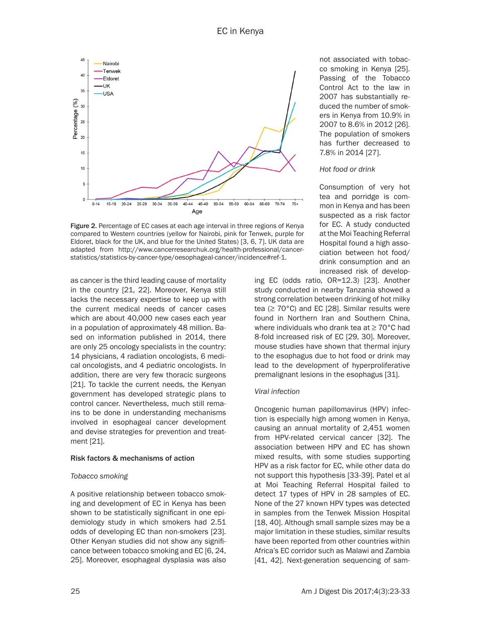

Figure 2. Percentage of EC cases at each age interval in three regions of Kenya compared to Western countries (yellow for Nairobi, pink for Tenwek, purple for Eldoret, black for the UK, and blue for the United States) [3, 6, 7]. UK data are adapted from http://www.cancerresearchuk.org/health-professional/cancerstatistics/statistics-by-cancer-type/oesophageal-cancer/incidence#ref-1.

as cancer is the third leading cause of mortality in the country [21, 22]. Moreover, Kenya still lacks the necessary expertise to keep up with the current medical needs of cancer cases which are about 40,000 new cases each year in a population of approximately 48 million. Based on information published in 2014, there are only 25 oncology specialists in the country: 14 physicians, 4 radiation oncologists, 6 medical oncologists, and 4 pediatric oncologists. In addition, there are very few thoracic surgeons [21]. To tackle the current needs, the Kenyan government has developed strategic plans to control cancer. Nevertheless, much still remains to be done in understanding mechanisms involved in esophageal cancer development and devise strategies for prevention and treatment [21].

#### Risk factors & mechanisms of action

### *Tobacco smoking*

A positive relationship between tobacco smoking and development of EC in Kenya has been shown to be statistically significant in one epidemiology study in which smokers had 2.51 odds of developing EC than non-smokers [23]. Other Kenyan studies did not show any significance between tobacco smoking and EC [6, 24, 25]. Moreover, esophageal dysplasia was also

not associated with tobacco smoking in Kenya [25]. Passing of the Tobacco Control Act to the law in 2007 has substantially reduced the number of smokers in Kenya from 10.9% in 2007 to 8.6% in 2012 [26]. The population of smokers has further decreased to 7.8% in 2014 [27].

#### *Hot food or drink*

Consumption of very hot tea and porridge is common in Kenya and has been suspected as a risk factor for EC. A study conducted at the Moi Teaching Referral Hospital found a high association between hot food/ drink consumption and an increased risk of develop-

ing EC (odds ratio, OR=12.3) [23]. Another study conducted in nearby Tanzania showed a strong correlation between drinking of hot milky tea  $(≥ 70°C)$  and EC [28]. Similar results were found in Northern Iran and Southern China, where individuals who drank tea at ≥ 70°C had 8-fold increased risk of EC [29, 30]. Moreover, mouse studies have shown that thermal injury to the esophagus due to hot food or drink may lead to the development of hyperproliferative premalignant lesions in the esophagus [31].

### *Viral infection*

Oncogenic human papillomavirus (HPV) infection is especially high among women in Kenya, causing an annual mortality of 2,451 women from HPV-related cervical cancer [32]. The association between HPV and EC has shown mixed results, with some studies supporting HPV as a risk factor for EC, while other data do not support this hypothesis [33-39]. Patel et al at Moi Teaching Referral Hospital failed to detect 17 types of HPV in 28 samples of EC. None of the 27 known HPV types was detected in samples from the Tenwek Mission Hospital [18, 40]. Although small sample sizes may be a major limitation in these studies, similar results have been reported from other countries within Africa's EC corridor such as Malawi and Zambia [41, 42]. Next-generation sequencing of sam-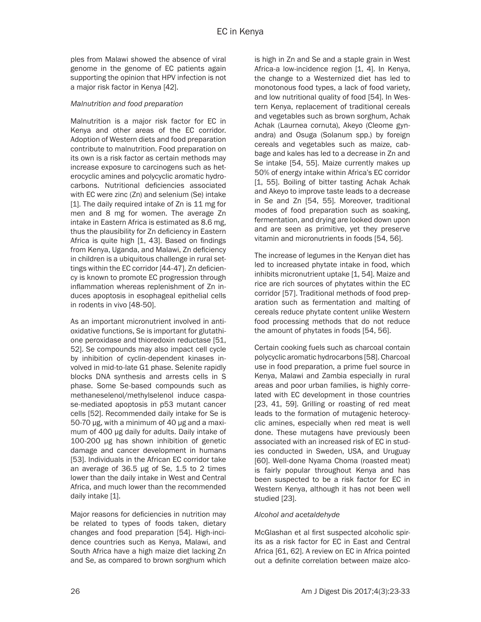ples from Malawi showed the absence of viral genome in the genome of EC patients again supporting the opinion that HPV infection is not a major risk factor in Kenya [42].

#### *Malnutrition and food preparation*

Malnutrition is a major risk factor for EC in Kenya and other areas of the EC corridor. Adoption of Western diets and food preparation contribute to malnutrition. Food preparation on its own is a risk factor as certain methods may increase exposure to carcinogens such as heterocyclic amines and polycyclic aromatic hydrocarbons. Nutritional deficiencies associated with EC were zinc (Zn) and selenium (Se) intake [1]. The daily required intake of Zn is 11 mg for men and 8 mg for women. The average Zn intake in Eastern Africa is estimated as 8.6 mg, thus the plausibility for Zn deficiency in Eastern Africa is quite high [1, 43]. Based on findings from Kenya, Uganda, and Malawi, Zn deficiency in children is a ubiquitous challenge in rural settings within the EC corridor [44-47]. Zn deficiency is known to promote EC progression through inflammation whereas replenishment of Zn induces apoptosis in esophageal epithelial cells in rodents in vivo [48-50].

As an important micronutrient involved in antioxidative functions, Se is important for glutathione peroxidase and thioredoxin reductase [51, 52]. Se compounds may also impact cell cycle by inhibition of cyclin-dependent kinases involved in mid-to-late G1 phase. Selenite rapidly blocks DNA synthesis and arrests cells in S phase. Some Se-based compounds such as methaneselenol/methylselenol induce caspase-mediated apoptosis in p53 mutant cancer cells [52]. Recommended daily intake for Se is 50-70 µg, with a minimum of 40 µg and a maximum of 400 µg daily for adults. Daily intake of 100-200 µg has shown inhibition of genetic damage and cancer development in humans [53]. Individuals in the African EC corridor take an average of 36.5 µg of Se, 1.5 to 2 times lower than the daily intake in West and Central Africa, and much lower than the recommended daily intake [1].

Major reasons for deficiencies in nutrition may be related to types of foods taken, dietary changes and food preparation [54]. High-incidence countries such as Kenya, Malawi, and South Africa have a high maize diet lacking Zn and Se, as compared to brown sorghum which

is high in Zn and Se and a staple grain in West Africa-a low-incidence region [1, 4]. In Kenya, the change to a Westernized diet has led to monotonous food types, a lack of food variety, and low nutritional quality of food [54]. In Western Kenya, replacement of traditional cereals and vegetables such as brown sorghum, Achak Achak (Laurnea cornuta), Akeyo (Cleome gynandra) and Osuga (Solanum spp.) by foreign cereals and vegetables such as maize, cabbage and kales has led to a decrease in Zn and Se intake [54, 55]. Maize currently makes up 50% of energy intake within Africa's EC corridor [1, 55]. Boiling of bitter tasting Achak Achak and Akeyo to improve taste leads to a decrease in Se and Zn [54, 55]. Moreover, traditional modes of food preparation such as soaking, fermentation, and drying are looked down upon and are seen as primitive, yet they preserve vitamin and micronutrients in foods [54, 56].

The increase of legumes in the Kenyan diet has led to increased phytate intake in food, which inhibits micronutrient uptake [1, 54]. Maize and rice are rich sources of phytates within the EC corridor [57]. Traditional methods of food preparation such as fermentation and malting of cereals reduce phytate content unlike Western food processing methods that do not reduce the amount of phytates in foods [54, 56].

Certain cooking fuels such as charcoal contain polycyclic aromatic hydrocarbons [58]. Charcoal use in food preparation, a prime fuel source in Kenya, Malawi and Zambia especially in rural areas and poor urban families, is highly correlated with EC development in those countries [23, 41, 59]. Grilling or roasting of red meat leads to the formation of mutagenic heterocyclic amines, especially when red meat is well done. These mutagens have previously been associated with an increased risk of EC in studies conducted in Sweden, USA, and Uruguay [60]. Well-done Nyama Choma (roasted meat) is fairly popular throughout Kenya and has been suspected to be a risk factor for EC in Western Kenya, although it has not been well studied [23].

### *alcohol and acetaldehyde*

McGlashan et al first suspected alcoholic spirits as a risk factor for EC in East and Central Africa [61, 62]. A review on EC in Africa pointed out a definite correlation between maize alco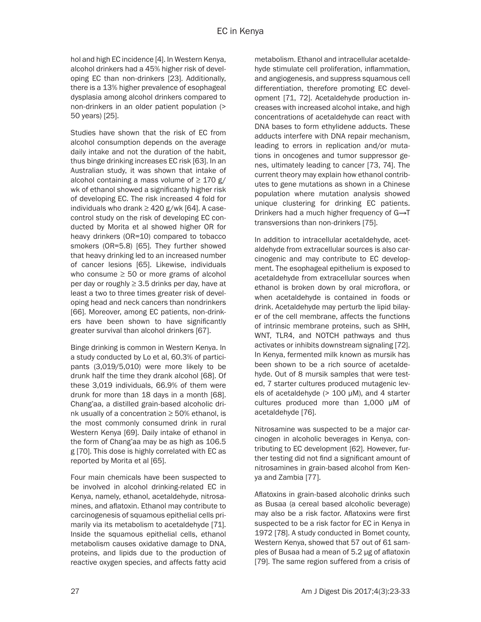hol and high EC incidence [4]. In Western Kenya, alcohol drinkers had a 45% higher risk of developing EC than non-drinkers [23]. Additionally, there is a 13% higher prevalence of esophageal dysplasia among alcohol drinkers compared to non-drinkers in an older patient population (> 50 years) [25].

Studies have shown that the risk of EC from alcohol consumption depends on the average daily intake and not the duration of the habit, thus binge drinking increases EC risk [63]. In an Australian study, it was shown that intake of alcohol containing a mass volume of  $\geq$  170 g/ wk of ethanol showed a significantly higher risk of developing EC. The risk increased 4 fold for individuals who drank  $\geq$  420 g/wk [64]. A casecontrol study on the risk of developing EC conducted by Morita et al showed higher OR for heavy drinkers (OR=10) compared to tobacco smokers (OR=5.8) [65]. They further showed that heavy drinking led to an increased number of cancer lesions [65]. Likewise, individuals who consume  $\geq$  50 or more grams of alcohol per day or roughly  $\geq$  3.5 drinks per day, have at least a two to three times greater risk of developing head and neck cancers than nondrinkers [66]. Moreover, among EC patients, non-drinkers have been shown to have significantly greater survival than alcohol drinkers [67].

Binge drinking is common in Western Kenya. In a study conducted by Lo et al, 60.3% of participants (3,019/5,010) were more likely to be drunk half the time they drank alcohol [68]. Of these 3,019 individuals, 66.9% of them were drunk for more than 18 days in a month [68]. Chang'aa, a distilled grain-based alcoholic drink usually of a concentration  $\geq$  50% ethanol, is the most commonly consumed drink in rural Western Kenya [69]. Daily intake of ethanol in the form of Chang'aa may be as high as 106.5 g [70]. This dose is highly correlated with EC as reported by Morita et al [65].

Four main chemicals have been suspected to be involved in alcohol drinking-related EC in Kenya, namely, ethanol, acetaldehyde, nitrosamines, and aflatoxin. Ethanol may contribute to carcinogenesis of squamous epithelial cells primarily via its metabolism to acetaldehyde [71]. Inside the squamous epithelial cells, ethanol metabolism causes oxidative damage to DNA, proteins, and lipids due to the production of reactive oxygen species, and affects fatty acid metabolism. Ethanol and intracellular acetaldehyde stimulate cell proliferation, inflammation, and angiogenesis, and suppress squamous cell differentiation, therefore promoting EC development [71, 72]. Acetaldehyde production increases with increased alcohol intake, and high concentrations of acetaldehyde can react with DNA bases to form ethylidene adducts. These adducts interfere with DNA repair mechanism, leading to errors in replication and/or mutations in oncogenes and tumor suppressor genes, ultimately leading to cancer [73, 74]. The current theory may explain how ethanol contributes to gene mutations as shown in a Chinese population where mutation analysis showed unique clustering for drinking EC patients. Drinkers had a much higher frequency of G→T transversions than non-drinkers [75].

In addition to intracellular acetaldehyde, acetaldehyde from extracellular sources is also carcinogenic and may contribute to EC development. The esophageal epithelium is exposed to acetaldehyde from extracellular sources when ethanol is broken down by oral microflora, or when acetaldehyde is contained in foods or drink. Acetaldehyde may perturb the lipid bilayer of the cell membrane, affects the functions of intrinsic membrane proteins, such as SHH, WNT, TLR4, and NOTCH pathways and thus activates or inhibits downstream signaling [72]. In Kenya, fermented milk known as mursik has been shown to be a rich source of acetaldehyde. Out of 8 mursik samples that were tested, 7 starter cultures produced mutagenic levels of acetaldehyde (> 100 μM), and 4 starter cultures produced more than 1,000 μM of acetaldehyde [76].

Nitrosamine was suspected to be a major carcinogen in alcoholic beverages in Kenya, contributing to EC development [62]. However, further testing did not find a significant amount of nitrosamines in grain-based alcohol from Kenya and Zambia [77].

Aflatoxins in grain-based alcoholic drinks such as Busaa (a cereal based alcoholic beverage) may also be a risk factor. Aflatoxins were first suspected to be a risk factor for EC in Kenya in 1972 [78]. A study conducted in Bomet county, Western Kenya, showed that 57 out of 61 samples of Busaa had a mean of 5.2 µg of aflatoxin [79]. The same region suffered from a crisis of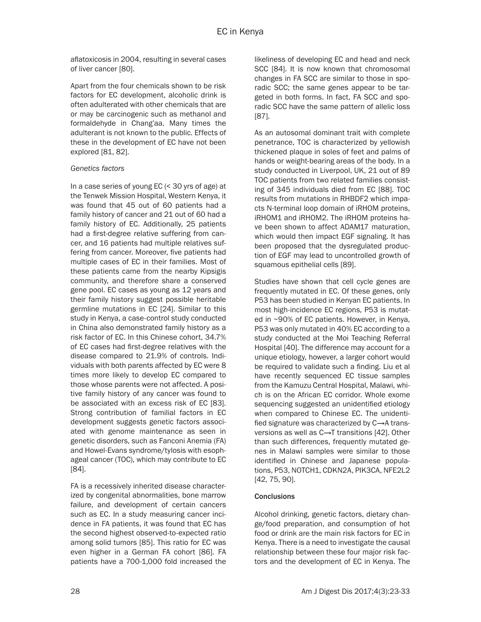aflatoxicosis in 2004, resulting in several cases of liver cancer [80].

Apart from the four chemicals shown to be risk factors for EC development, alcoholic drink is often adulterated with other chemicals that are or may be carcinogenic such as methanol and formaldehyde in Chang'aa. Many times the adulterant is not known to the public. Effects of these in the development of EC have not been explored [81, 82].

### *Genetics factors*

In a case series of young EC (< 30 yrs of age) at the Tenwek Mission Hospital, Western Kenya, it was found that 45 out of 60 patients had a family history of cancer and 21 out of 60 had a family history of EC. Additionally, 25 patients had a first-degree relative suffering from cancer, and 16 patients had multiple relatives suffering from cancer. Moreover, five patients had multiple cases of EC in their families. Most of these patients came from the nearby Kipsigis community, and therefore share a conserved gene pool. EC cases as young as 12 years and their family history suggest possible heritable germline mutations in EC [24]. Similar to this study in Kenya, a case-control study conducted in China also demonstrated family history as a risk factor of EC. In this Chinese cohort, 34.7% of EC cases had first-degree relatives with the disease compared to 21.9% of controls. Individuals with both parents affected by EC were 8 times more likely to develop EC compared to those whose parents were not affected. A positive family history of any cancer was found to be associated with an excess risk of EC [83]. Strong contribution of familial factors in EC development suggests genetic factors associated with genome maintenance as seen in genetic disorders, such as Fanconi Anemia (FA) and Howel-Evans syndrome/tylosis with esophageal cancer (TOC), which may contribute to EC [84].

FA is a recessively inherited disease characterized by congenital abnormalities, bone marrow failure, and development of certain cancers such as EC. In a study measuring cancer incidence in FA patients, it was found that EC has the second highest observed-to-expected ratio among solid tumors [85]. This ratio for EC was even higher in a German FA cohort [86]. FA patients have a 700-1,000 fold increased the likeliness of developing EC and head and neck SCC [84]. It is now known that chromosomal changes in FA SCC are similar to those in sporadic SCC; the same genes appear to be targeted in both forms. In fact, FA SCC and sporadic SCC have the same pattern of allelic loss [87].

As an autosomal dominant trait with complete penetrance, TOC is characterized by yellowish thickened plaque in soles of feet and palms of hands or weight-bearing areas of the body. In a study conducted in Liverpool, UK, 21 out of 89 TOC patients from two related families consisting of 345 individuals died from EC [88]. TOC results from mutations in RHBDF2 which impacts N-terminal loop domain of iRHOM proteins, iRHOM1 and iRHOM2. The iRHOM proteins have been shown to affect ADAM17 maturation, which would then impact EGF signaling. It has been proposed that the dysregulated production of EGF may lead to uncontrolled growth of squamous epithelial cells [89].

Studies have shown that cell cycle genes are frequently mutated in EC. Of these genes, only P53 has been studied in Kenyan EC patients. In most high-incidence EC regions, P53 is mutated in ~90% of EC patients. However, in Kenya, P53 was only mutated in 40% EC according to a study conducted at the Moi Teaching Referral Hospital [40]. The difference may account for a unique etiology, however, a larger cohort would be required to validate such a finding. Liu et al have recently sequenced EC tissue samples from the Kamuzu Central Hospital, Malawi, which is on the African EC corridor. Whole exome sequencing suggested an unidentified etiology when compared to Chinese EC. The unidentified signature was characterized by C→A transversions as well as C→T transitions [42]. Other than such differences, frequently mutated genes in Malawi samples were similar to those identified in Chinese and Japanese populations, P53, NOTCH1, CDKN2A, PIK3CA, NFE2L2 [42, 75, 90].

# **Conclusions**

Alcohol drinking, genetic factors, dietary change/food preparation, and consumption of hot food or drink are the main risk factors for EC in Kenya. There is a need to investigate the causal relationship between these four major risk factors and the development of EC in Kenya. The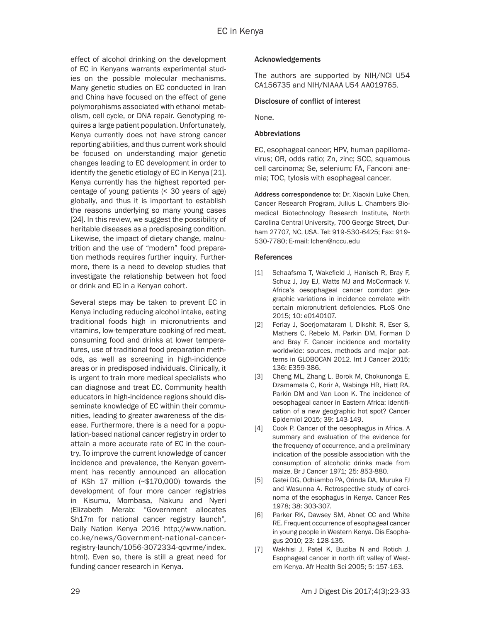effect of alcohol drinking on the development of EC in Kenyans warrants experimental studies on the possible molecular mechanisms. Many genetic studies on EC conducted in Iran and China have focused on the effect of gene polymorphisms associated with ethanol metabolism, cell cycle, or DNA repair. Genotyping requires a large patient population. Unfortunately, Kenya currently does not have strong cancer reporting abilities, and thus current work should be focused on understanding major genetic changes leading to EC development in order to identify the genetic etiology of EC in Kenya [21]. Kenya currently has the highest reported percentage of young patients (< 30 years of age) globally, and thus it is important to establish the reasons underlying so many young cases [24]. In this review, we suggest the possibility of heritable diseases as a predisposing condition. Likewise, the impact of dietary change, malnutrition and the use of "modern" food preparation methods requires further inquiry. Furthermore, there is a need to develop studies that investigate the relationship between hot food or drink and EC in a Kenyan cohort.

Several steps may be taken to prevent EC in Kenya including reducing alcohol intake, eating traditional foods high in micronutrients and vitamins, low-temperature cooking of red meat, consuming food and drinks at lower temperatures, use of traditional food preparation methods, as well as screening in high-incidence areas or in predisposed individuals. Clinically, it is urgent to train more medical specialists who can diagnose and treat EC. Community health educators in high-incidence regions should disseminate knowledge of EC within their communities, leading to greater awareness of the disease. Furthermore, there is a need for a population-based national cancer registry in order to attain a more accurate rate of EC in the country. To improve the current knowledge of cancer incidence and prevalence, the Kenyan government has recently announced an allocation of KSh 17 million (~\$170,000) towards the development of four more cancer registries in Kisumu, Mombasa, Nakuru and Nyeri (Elizabeth Merab: "Government allocates Sh17m for national cancer registry launch", Daily Nation Kenya 2016 http://www.nation. co.ke/news/Government-national-cancerregistry-launch/1056-3072334-qcvrme/index. html). Even so, there is still a great need for funding cancer research in Kenya.

# Acknowledgements

The authors are supported by NIH/NCI U54 CA156735 and NIH/NIAAA U54 AA019765.

### Disclosure of conflict of interest

None.

## Abbreviations

EC, esophageal cancer; HPV, human papillomavirus; OR, odds ratio; Zn, zinc; SCC, squamous cell carcinoma; Se, selenium; FA, Fanconi anemia; TOC, tylosis with esophageal cancer.

Address correspondence to: Dr. Xiaoxin Luke Chen, Cancer Research Program, Julius L. Chambers Biomedical Biotechnology Research Institute, North Carolina Central University, 700 George Street, Durham 27707, NC, USA. Tel: 919-530-6425; Fax: 919- 530-7780; E-mail: lchen@nccu.edu

# References

- [1] Schaafsma T, Wakefield J, Hanisch R, Bray F, Schuz J, Joy EJ, Watts MJ and McCormack V. Africa's oesophageal cancer corridor: geographic variations in incidence correlate with certain micronutrient deficiencies. PLoS One 2015; 10: e0140107.
- [2] Ferlay J, Soerjomataram I, Dikshit R, Eser S, Mathers C, Rebelo M, Parkin DM, Forman D and Bray F. Cancer incidence and mortality worldwide: sources, methods and major patterns in GLOBOCAN 2012. Int J Cancer 2015; 136: E359-386.
- [3] Cheng ML, Zhang L, Borok M, Chokunonga E, Dzamamala C, Korir A, Wabinga HR, Hiatt RA, Parkin DM and Van Loon K. The incidence of oesophageal cancer in Eastern Africa: identification of a new geographic hot spot? Cancer Epidemiol 2015; 39: 143-149.
- [4] Cook P. Cancer of the oesophagus in Africa. A summary and evaluation of the evidence for the frequency of occurrence, and a preliminary indication of the possible association with the consumption of alcoholic drinks made from maize. Br J Cancer 1971; 25: 853-880.
- [5] Gatei DG, Odhiambo PA, Orinda DA, Muruka FJ and Wasunna A. Retrospective study of carcinoma of the esophagus in Kenya. Cancer Res 1978; 38: 303-307.
- [6] Parker RK, Dawsey SM, Abnet CC and White RE. Frequent occurrence of esophageal cancer in young people in Western Kenya. Dis Esophagus 2010; 23: 128-135.
- [7] Wakhisi J, Patel K, Buziba N and Rotich J. Esophageal cancer in north rift valley of Western Kenya. Afr Health Sci 2005; 5: 157-163.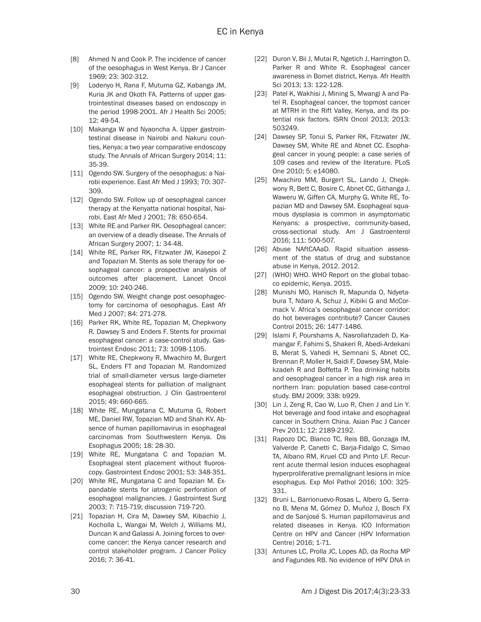- [8] Ahmed N and Cook P. The incidence of cancer of the oesophagus in West Kenya. Br J Cancer 1969; 23: 302-312.
- [9] Lodenyo H, Rana F, Mutuma GZ, Kabanga JM, Kuria JK and Okoth FA. Patterns of upper gastrointestinal diseases based on endoscopy in the period 1998-2001. Afr J Health Sci 2005; 12: 49-54.
- [10] Makanga W and Nyaoncha A. Upper gastrointestinal disease in Nairobi and Nakuru counties, Kenya; a two year comparative endoscopy study. The Annals of African Surgery 2014; 11: 35-39.
- [11] Ogendo SW. Surgery of the oesophagus: a Nairobi experience. East Afr Med J 1993; 70: 307- 309.
- [12] Ogendo SW. Follow up of oesophageal cancer therapy at the Kenyatta national hospital, Nairobi. East Afr Med J 2001; 78: 650-654.
- [13] White RE and Parker RK, Oesophageal cancer: an overview of a deadly disease. The Annals of African Surgery 2007; 1: 34-48.
- [14] White RE, Parker RK, Fitzwater JW, Kasepoi Z and Topazian M. Stents as sole therapy for oesophageal cancer: a prospective analysis of outcomes after placement. Lancet Oncol 2009; 10: 240-246.
- [15] Ogendo SW. Weight change post oesophagectomy for carcinoma of oesophagus. East Afr Med J 2007; 84: 271-278.
- [16] Parker RK, White RE, Topazian M, Chepkwony R, Dawsey S and Enders F. Stents for proximal esophageal cancer: a case-control study. Gastrointest Endosc 2011; 73: 1098-1105.
- [17] White RE, Chepkwony R, Mwachiro M, Burgert SL, Enders FT and Topazian M. Randomized trial of small-diameter versus large-diameter esophageal stents for palliation of malignant esophageal obstruction. J Clin Gastroenterol 2015; 49: 660-665.
- [18] White RE, Mungatana C, Mutuma G, Robert ME, Daniel RW, Topazian MD and Shah KV. Absence of human papillomavirus in esophageal carcinomas from Southwestern Kenya. Dis Esophagus 2005; 18: 28-30.
- [19] White RE, Mungatana C and Topazian M. Esophageal stent placement without fluoroscopy. Gastrointest Endosc 2001; 53: 348-351.
- [20] White RE, Mungatana C and Topazian M. Expandable stents for iatrogenic perforation of esophageal malignancies. J Gastrointest Surg 2003; 7: 715-719; discussion 719-720.
- [21] Topazian H, Cira M, Dawsey SM, Kibachio J, Kocholla L, Wangai M, Welch J, Williams MJ, Duncan K and Galassi A. Joining forces to overcome cancer: the Kenya cancer research and control stakeholder program. J Cancer Policy 2016; 7: 36-41.
- [22] Duron V, Bii J, Mutai R, Ngetich J, Harrington D, Parker R and White R. Esophageal cancer awareness in Bomet district, Kenya. Afr Health Sci 2013; 13: 122-128.
- [23] Patel K, Wakhisi J, Mining S, Mwangi A and Patel R. Esophageal cancer, the topmost cancer at MTRH in the Rift Valley, Kenya, and its potential risk factors. ISRN Oncol 2013; 2013: 503249.
- [24] Dawsey SP, Tonui S, Parker RK, Fitzwater JW, Dawsey SM, White RE and Abnet CC. Esophageal cancer in young people: a case series of 109 cases and review of the literature. PLoS One 2010; 5: e14080.
- [25] Mwachiro MM, Burgert SL, Lando J, Chepkwony R, Bett C, Bosire C, Abnet CC, Githanga J, Waweru W, Giffen CA, Murphy G, White RE, Topazian MD and Dawsey SM. Esophageal squamous dysplasia is common in asymptomatic Kenyans: a prospective, community-based, cross-sectional study. Am J Gastroenterol 2016; 111: 500-507.
- [26] Abuse NAftCAAaD. Rapid situation assessment of the status of drug and substance abuse in Kenya, 2012. 2012.
- [27] (WHO) WHO. WHO Report on the global tobacco epidemic, Kenya. 2015.
- [28] Munishi MO, Hanisch R, Mapunda O, Ndyetabura T, Ndaro A, Schuz J, Kibiki G and McCormack V. Africa's oesophageal cancer corridor: do hot beverages contribute? Cancer Causes Control 2015; 26: 1477-1486.
- [29] Islami F, Pourshams A, Nasrollahzadeh D, Kamangar F, Fahimi S, Shakeri R, Abedi-Ardekani B, Merat S, Vahedi H, Semnani S, Abnet CC, Brennan P, Moller H, Saidi F, Dawsey SM, Malekzadeh R and Boffetta P. Tea drinking habits and oesophageal cancer in a high risk area in northern Iran: population based case-control study. BMJ 2009; 338: b929.
- [30] Lin J, Zeng R, Cao W, Luo R, Chen J and Lin Y. Hot beverage and food intake and esophageal cancer in Southern China. Asian Pac J Cancer Prev 2011; 12: 2189-2192.
- [31] Rapozo DC, Blanco TC, Reis BB, Gonzaga IM, Valverde P, Canetti C, Barja-Fidalgo C, Simao TA, Albano RM, Kruel CD and Pinto LF. Recurrent acute thermal lesion induces esophageal hyperproliferative premalignant lesions in mice esophagus. Exp Mol Pathol 2016; 100: 325- 331.
- [32] Bruni L, Barrionuevo-Rosas L, Albero G, Serrano B, Mena M, Gómez D, Muñoz J, Bosch FX and de Sanjosé S. Human papillomavirus and related diseases in Kenya. ICO Information Centre on HPV and Cancer (HPV Information Centre) 2016; 1-71.
- [33] Antunes LC, Prolla JC, Lopes AD, da Rocha MP and Fagundes RB. No evidence of HPV DNA in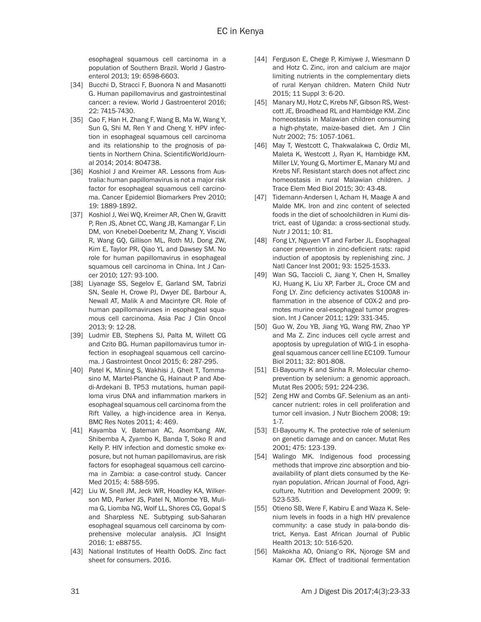esophageal squamous cell carcinoma in a population of Southern Brazil. World J Gastroenterol 2013; 19: 6598-6603.

- [34] Bucchi D, Stracci F, Buonora N and Masanotti G. Human papillomavirus and gastrointestinal cancer: a review. World J Gastroenterol 2016; 22: 7415-7430.
- [35] Cao F, Han H, Zhang F, Wang B, Ma W, Wang Y, Sun G, Shi M, Ren Y and Cheng Y. HPV infection in esophageal squamous cell carcinoma and its relationship to the prognosis of patients in Northern China. ScientificWorldJournal 2014; 2014: 804738.
- [36] Koshiol J and Kreimer AR. Lessons from Australia: human papillomavirus is not a major risk factor for esophageal squamous cell carcinoma. Cancer Epidemiol Biomarkers Prev 2010; 19: 1889-1892.
- [37] Koshiol J, Wei WQ, Kreimer AR, Chen W, Gravitt P, Ren JS, Abnet CC, Wang JB, Kamangar F, Lin DM, von Knebel-Doeberitz M, Zhang Y, Viscidi R, Wang GQ, Gillison ML, Roth MJ, Dong ZW, Kim E, Taylor PR, Qiao YL and Dawsey SM. No role for human papillomavirus in esophageal squamous cell carcinoma in China. Int J Cancer 2010; 127: 93-100.
- [38] Liyanage SS, Segelov E, Garland SM, Tabrizi SN, Seale H, Crowe PJ, Dwyer DE, Barbour A, Newall AT, Malik A and Macintyre CR. Role of human papillomaviruses in esophageal squamous cell carcinoma. Asia Pac J Clin Oncol 2013; 9: 12-28.
- [39] Ludmir EB, Stephens SJ, Palta M, Willett CG and Czito BG. Human papillomavirus tumor infection in esophageal squamous cell carcinoma. J Gastrointest Oncol 2015; 6: 287-295.
- [40] Patel K, Mining S, Wakhisi J, Gheit T, Tommasino M, Martel-Planche G, Hainaut P and Abedi-Ardekani B. TP53 mutations, human papilloma virus DNA and inflammation markers in esophageal squamous cell carcinoma from the Rift Valley, a high-incidence area in Kenya. BMC Res Notes 2011; 4: 469.
- [41] Kayamba V, Bateman AC, Asombang AW, Shibemba A, Zyambo K, Banda T, Soko R and Kelly P. HIV infection and domestic smoke exposure, but not human papillomavirus, are risk factors for esophageal squamous cell carcinoma in Zambia: a case-control study. Cancer Med 2015; 4: 588-595.
- [42] Liu W, Snell JM, Jeck WR, Hoadley KA, Wilkerson MD, Parker JS, Patel N, Mlombe YB, Mulima G, Liomba NG, Wolf LL, Shores CG, Gopal S and Sharpless NE. Subtyping sub-Saharan esophageal squamous cell carcinoma by comprehensive molecular analysis. JCI Insight 2016; 1: e88755.
- [43] National Institutes of Health OoDS. Zinc fact sheet for consumers. 2016.
- [44] Ferguson E, Chege P, Kimiywe J, Wiesmann D and Hotz C. Zinc, iron and calcium are major limiting nutrients in the complementary diets of rural Kenyan children. Matern Child Nutr 2015; 11 Suppl 3: 6-20.
- [45] Manary MJ, Hotz C, Krebs NF, Gibson RS, Westcott JE, Broadhead RL and Hambidge KM. Zinc homeostasis in Malawian children consuming a high-phytate, maize-based diet. Am J Clin Nutr 2002; 75: 1057-1061.
- [46] May T, Westcott C, Thakwalakwa C, Ordiz MI, Maleta K, Westcott J, Ryan K, Hambidge KM, Miller LV, Young G, Mortimer E, Manary MJ and Krebs NF. Resistant starch does not affect zinc homeostasis in rural Malawian children. J Trace Elem Med Biol 2015; 30: 43-48.
- [47] Tidemann-Andersen I, Acham H, Maage A and Malde MK. Iron and zinc content of selected foods in the diet of schoolchildren in Kumi district, east of Uganda: a cross-sectional study. Nutr J 2011; 10: 81.
- [48] Fong LY, Nguyen VT and Farber JL. Esophageal cancer prevention in zinc-deficient rats: rapid induction of apoptosis by replenishing zinc. J Natl Cancer Inst 2001; 93: 1525-1533.
- [49] Wan SG, Taccioli C, Jiang Y, Chen H, Smalley KJ, Huang K, Liu XP, Farber JL, Croce CM and Fong LY. Zinc deficiency activates S100A8 inflammation in the absence of COX-2 and promotes murine oral-esophageal tumor progression. Int J Cancer 2011; 129: 331-345.
- [50] Guo W, Zou YB, Jiang YG, Wang RW, Zhao YP and Ma Z. Zinc induces cell cycle arrest and apoptosis by upregulation of WIG-1 in esophageal squamous cancer cell line EC109. Tumour Biol 2011; 32: 801-808.
- [51] El-Bayoumy K and Sinha R. Molecular chemoprevention by selenium: a genomic approach. Mutat Res 2005; 591: 224-236.
- [52] Zeng HW and Combs GF. Selenium as an anticancer nutrient: roles in cell proliferation and tumor cell invasion. J Nutr Biochem 2008; 19: 1-7.
- [53] El-Bayoumy K. The protective role of selenium on genetic damage and on cancer. Mutat Res 2001; 475: 123-139.
- [54] Walingo MK. Indigenous food processing methods that improve zinc absorption and bioavailability of plant diets consumed by the Kenyan population. African Journal of Food, Agriculture, Nutrition and Development 2009; 9: 523-535.
- [55] Otieno SB, Were F, Kabiru E and Waza K. Selenium levels in foods in a high HIV prevalence community: a case study in pala-bondo district, Kenya. East African Journal of Public Health 2013; 10: 516-520.
- [56] Makokha AO, Oniang'o RK, Njoroge SM and Kamar OK. Effect of traditional fermentation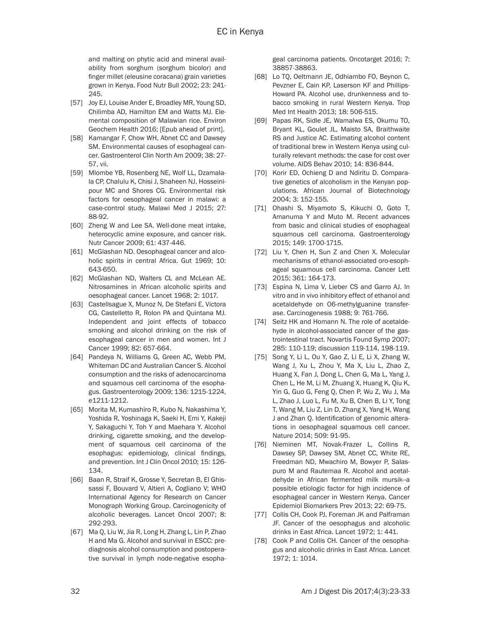and malting on phytic acid and mineral availability from sorghum (sorghum bicolor) and finger millet (eleusine coracana) grain varieties grown in Kenya. Food Nutr Bull 2002; 23: 241- 245.

- [57] Joy EJ, Louise Ander E, Broadley MR, Young SD, Chilimba AD, Hamilton EM and Watts MJ. Elemental composition of Malawian rice. Environ Geochem Health 2016; [Epub ahead of print].
- [58] Kamangar F, Chow WH, Abnet CC and Dawsey SM. Environmental causes of esophageal cancer. Gastroenterol Clin North Am 2009; 38: 27- 57, vii.
- [59] Mlombe YB, Rosenberg NE, Wolf LL, Dzamalala CP, Chalulu K, Chisi J, Shaheen NJ, Hosseinipour MC and Shores CG. Environmental risk factors for oesophageal cancer in malawi: a case-control study. Malawi Med J 2015; 27: 88-92.
- [60] Zheng W and Lee SA. Well-done meat intake, heterocyclic amine exposure, and cancer risk. Nutr Cancer 2009; 61: 437-446.
- [61] McGlashan ND. Oesophageal cancer and alcoholic spirits in central Africa. Gut 1969; 10: 643-650.
- [62] McGlashan ND, Walters CL and McLean AE. Nitrosamines in African alcoholic spirits and oesophageal cancer. Lancet 1968; 2: 1017.
- [63] Castellsague X, Munoz N, De Stefani E, Victora CG, Castelletto R, Rolon PA and Quintana MJ. Independent and joint effects of tobacco smoking and alcohol drinking on the risk of esophageal cancer in men and women. Int J Cancer 1999; 82: 657-664.
- [64] Pandeya N, Williams G, Green AC, Webb PM, Whiteman DC and Australian Cancer S. Alcohol consumption and the risks of adenocarcinoma and squamous cell carcinoma of the esophagus. Gastroenterology 2009; 136: 1215-1224, e1211-1212.
- [65] Morita M, Kumashiro R, Kubo N, Nakashima Y, Yoshida R, Yoshinaga K, Saeki H, Emi Y, Kakeji Y, Sakaguchi Y, Toh Y and Maehara Y. Alcohol drinking, cigarette smoking, and the development of squamous cell carcinoma of the esophagus: epidemiology, clinical findings, and prevention. Int J Clin Oncol 2010; 15: 126- 134.
- [66] Baan R, Straif K, Grosse Y, Secretan B, El Ghissassi F, Bouvard V, Altieri A, Cogliano V; WHO International Agency for Research on Cancer Monograph Working Group. Carcinogenicity of alcoholic beverages. Lancet Oncol 2007; 8: 292-293.
- [67] Ma Q, Liu W, Jia R, Long H, Zhang L, Lin P, Zhao H and Ma G. Alcohol and survival in ESCC: prediagnosis alcohol consumption and postoperative survival in lymph node-negative esopha-

geal carcinoma patients. Oncotarget 2016; 7: 38857-38863.

- [68] Lo TQ, Oeltmann JE, Odhiambo FO, Beynon C, Pevzner E, Cain KP, Laserson KF and Phillips-Howard PA. Alcohol use, drunkenness and tobacco smoking in rural Western Kenya. Trop Med Int Health 2013; 18: 506-515.
- [69] Papas RK, Sidle JE, Wamalwa ES, Okumu TO, Bryant KL, Goulet JL, Maisto SA, Braithwaite RS and Justice AC. Estimating alcohol content of traditional brew in Western Kenya using culturally relevant methods: the case for cost over volume. AIDS Behav 2010; 14: 836-844.
- [70] Korir ED, Ochieng D and Ndiritu D. Comparative genetics of alcoholism in the Kenyan populations. African Journal of Biotechnology 2004; 3: 152-155.
- [71] Ohashi S, Miyamoto S, Kikuchi O, Goto T, Amanuma Y and Muto M. Recent advances from basic and clinical studies of esophageal squamous cell carcinoma. Gastroenterology 2015; 149: 1700-1715.
- [72] Liu Y, Chen H, Sun Z and Chen X. Molecular mechanisms of ethanol-associated oro-esophageal squamous cell carcinoma. Cancer Lett 2015; 361: 164-173.
- [73] Espina N, Lima V, Lieber CS and Garro AJ. In vitro and in vivo inhibitory effect of ethanol and acetaldehyde on O6-methylguanine transferase. Carcinogenesis 1988; 9: 761-766.
- [74] Seitz HK and Homann N. The role of acetaldehyde in alcohol-associated cancer of the gastrointestinal tract. Novartis Found Symp 2007; 285: 110-119; discussion 119-114, 198-119.
- [75] Song Y, Li L, Ou Y, Gao Z, Li E, Li X, Zhang W, Wang J, Xu L, Zhou Y, Ma X, Liu L, Zhao Z, Huang X, Fan J, Dong L, Chen G, Ma L, Yang J, Chen L, He M, Li M, Zhuang X, Huang K, Qiu K, Yin G, Guo G, Feng Q, Chen P, Wu Z, Wu J, Ma L, Zhao J, Luo L, Fu M, Xu B, Chen B, Li Y, Tong T, Wang M, Liu Z, Lin D, Zhang X, Yang H, Wang J and Zhan Q. Identification of genomic alterations in oesophageal squamous cell cancer. Nature 2014; 509: 91-95.
- [76] Nieminen MT, Novak-Frazer L, Collins R, Dawsey SP, Dawsey SM, Abnet CC, White RE, Freedman ND, Mwachiro M, Bowyer P, Salaspuro M and Rautemaa R. Alcohol and acetaldehyde in African fermented milk mursik--a possible etiologic factor for high incidence of esophageal cancer in Western Kenya. Cancer Epidemiol Biomarkers Prev 2013; 22: 69-75.
- [77] Collis CH, Cook PJ, Foreman JK and Palframan JF. Cancer of the oesophagus and alcoholic drinks in East Africa. Lancet 1972; 1: 441.
- [78] Cook P and Collis CH. Cancer of the oesophagus and alcoholic drinks in East Africa. Lancet 1972; 1: 1014.